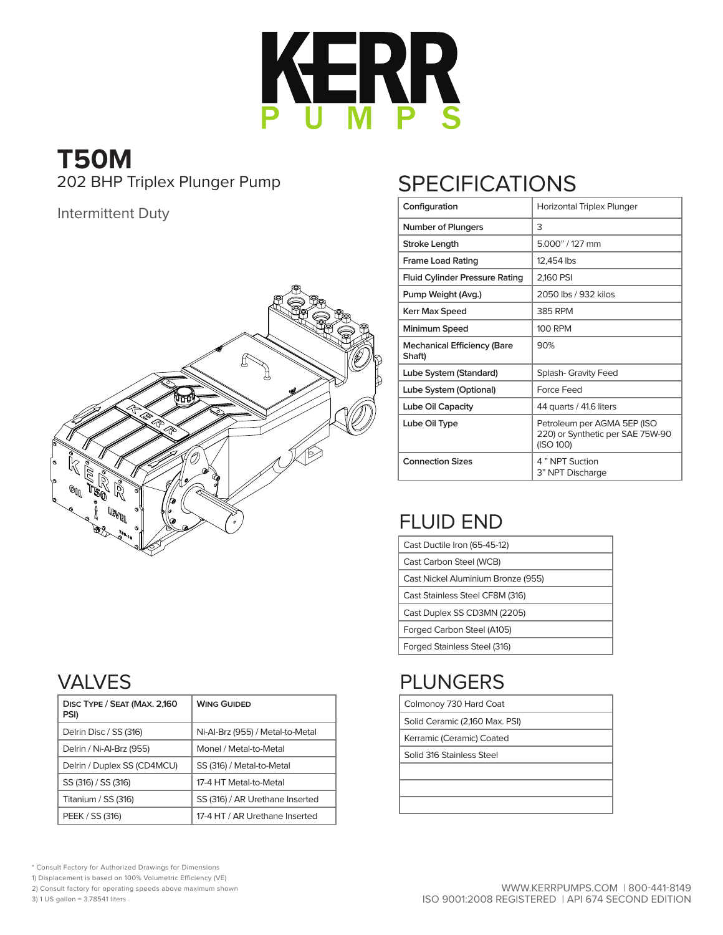

# **T50M**

Intermittent Duty



#### VALVES

| DISC TYPE / SEAT (MAX. 2,160<br>PSI) | <b>WING GUIDED</b>               |
|--------------------------------------|----------------------------------|
| Delrin Disc / SS (316)               | Ni-Al-Brz (955) / Metal-to-Metal |
| Delrin / Ni-Al-Brz (955)             | Monel / Metal-to-Metal           |
| Delrin / Duplex SS (CD4MCU)          | SS (316) / Metal-to-Metal        |
| SS (316) / SS (316)                  | 17-4 HT Metal-to-Metal           |
| Titanium / SS (316)                  | SS (316) / AR Urethane Inserted  |
| PEEK / SS (316)                      | 17-4 HT / AR Urethane Inserted   |

## 202 BHP Triplex Plunger Pump SPECIFICATIONS

| Configuration                         | Horizontal Triplex Plunger                                                   |
|---------------------------------------|------------------------------------------------------------------------------|
| <b>Number of Plungers</b>             | 3                                                                            |
| Stroke Length                         | 5.000" / 127 mm                                                              |
| <b>Frame Load Rating</b>              | 12,454 lbs                                                                   |
| <b>Fluid Cylinder Pressure Rating</b> | 2,160 PSI                                                                    |
| Pump Weight (Avg.)                    | 2050 lbs / 932 kilos                                                         |
| Kerr Max Speed                        | 385 RPM                                                                      |
| Minimum Speed                         | <b>100 RPM</b>                                                               |
| Mechanical Efficiency (Bare<br>Shaft) | 90%                                                                          |
| Lube System (Standard)                | <b>Splash- Gravity Feed</b>                                                  |
| Lube System (Optional)                | Force Feed                                                                   |
| Lube Oil Capacity                     | 44 quarts / 41.6 liters                                                      |
| Lube Oil Type                         | Petroleum per AGMA 5EP (ISO<br>220) or Synthetic per SAE 75W-90<br>(ISO 100) |
| <b>Connection Sizes</b>               | 4" NPT Suction<br>3" NPT Discharge                                           |

### FLUID END

| Cast Ductile Iron (65-45-12)       |
|------------------------------------|
| Cast Carbon Steel (WCB)            |
| Cast Nickel Aluminium Bronze (955) |
| Cast Stainless Steel CF8M (316)    |
| Cast Duplex SS CD3MN (2205)        |
| Forged Carbon Steel (A105)         |
| Forged Stainless Steel (316)       |

#### PLUNGERS

| Colmonoy 730 Hard Coat       |  |
|------------------------------|--|
| Calid Coromic (24CO May DCI) |  |

|  | Solid Ceramic (2,160 Max. PSI) |  |  |
|--|--------------------------------|--|--|
|  |                                |  |  |

Kerramic (Ceramic) Coated Solid 316 Stainless Steel

\* Consult Factory for Authorized Drawings for Dimensions 1) Displacement is based on 100% Volumetric Efficiency (VE) 2) Consult factory for operating speeds above maximum shown

3) 1 US gallon = 3.78541 liters